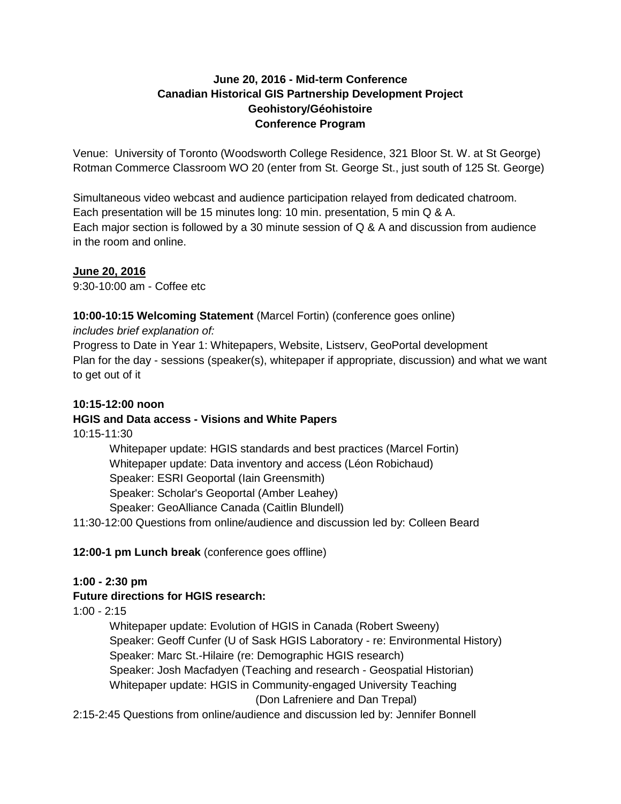### **June 20, 2016 - Mid-term Conference Canadian Historical GIS Partnership Development Project Geohistory/Géohistoire Conference Program**

Venue: University of Toronto (Woodsworth College Residence, 321 Bloor St. W. at St George) Rotman Commerce Classroom WO 20 (enter from St. George St., just south of 125 St. George)

Simultaneous video webcast and audience participation relayed from dedicated chatroom. Each presentation will be 15 minutes long: 10 min. presentation, 5 min Q & A. Each major section is followed by a 30 minute session of Q & A and discussion from audience in the room and online.

# **June 20, 2016**

9:30-10:00 am - Coffee etc

### **10:00-10:15 Welcoming Statement** (Marcel Fortin) (conference goes online)

*includes brief explanation of:* 

Progress to Date in Year 1: Whitepapers, Website, Listserv, GeoPortal development Plan for the day - sessions (speaker(s), whitepaper if appropriate, discussion) and what we want to get out of it

## **10:15-12:00 noon**

### **HGIS and Data access - Visions and White Papers**

10:15-11:30

Whitepaper update: HGIS standards and best practices (Marcel Fortin) Whitepaper update: Data inventory and access (Léon Robichaud) Speaker: ESRI Geoportal (Iain Greensmith) Speaker: Scholar's Geoportal (Amber Leahey) Speaker: GeoAlliance Canada (Caitlin Blundell)

11:30-12:00 Questions from online/audience and discussion led by: Colleen Beard

### **12:00-1 pm Lunch break** (conference goes offline)

### **1:00 - 2:30 pm**

### **Future directions for HGIS research:**

 $1:00 - 2:15$ 

Whitepaper update: Evolution of HGIS in Canada (Robert Sweeny) Speaker: Geoff Cunfer (U of Sask HGIS Laboratory - re: Environmental History) Speaker: Marc St.-Hilaire (re: Demographic HGIS research) Speaker: Josh Macfadyen (Teaching and research - Geospatial Historian) Whitepaper update: HGIS in Community-engaged University Teaching (Don Lafreniere and Dan Trepal)

2:15-2:45 Questions from online/audience and discussion led by: Jennifer Bonnell